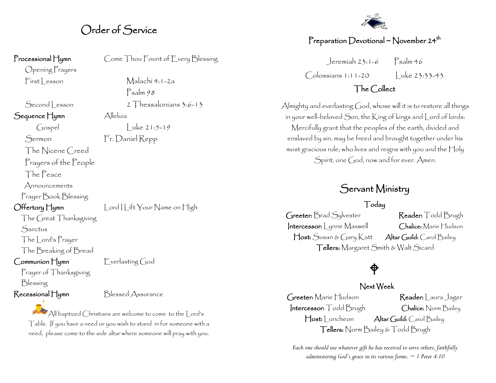## Order of Service

Psalm 98

#### Processional Hymn Come Thou Fount of Every Blessing

Opening Prayers First Lesson Malachi 4:1-2a

Second Lesson 2 Thessalonians 3:6-13 Sequence Hymn Alleluía

 $Gosel$  Luke 21:5-19

Sermon Fr. Daniel Repp

The Nicene Creed

Prayers of the People

The Peace

Announcements

Prayer Book Blessing

Offertory Hymn Lord Lift Your Name on High

The Great Thanksgiving

**Sanctus** 

The Lord's Prayer

The Breaking of Bread

Communion Hymn Everlasting God

Prayer of Thanksgiving

Blessing

Recessional Hymn Blessed Assurance

All baptized Christians are welcome to come to the Lord's Table. If you have a need or you wish to stand in for someone with a need, please come to the side altar where someone will pray with you.



### Preparation Devotional ~ November 24<sup>th</sup>

 $Jeremiah 23:1-6$  Psalm 46 Colossians 1:11-20 Luke 23:33-43

### The Collect

Almighty and everlasting God, whose will it is to restore all things in your well-beloved Son, the King of kings and Lord of lords: Mercifully grant that the peoples of the earth, divided and enslaved by sin, may be freed and brought together under his most gracious rule; who lives and reigns with you and the Holy Spirit, one God, now and for ever. Amen.

# Servant Ministry

#### Today

Greeter: Brad Sylvester Reader: Todd Brugh Intercessor: Lynne Maxwell Chalice: Marie Hudson Host: Susan & Gary Katt Altar Guild: Carol Bailey Tellers: Margaret Smith & Walt Sicard

# $\bigoplus$

#### Next Week

Greeter: Marie Hudson Reader: Laura Jager Intercessor: Todd Brugh Chalice: Norm Bailey Host: Luncheon Altar Guild: Carol Bailey Tellers: Norm Bailey & Todd Brugh

*Each one should use whatever gift he has received to serve others, faithfully administering God's grace in its various forms. ~ 1 Peter 4:10*